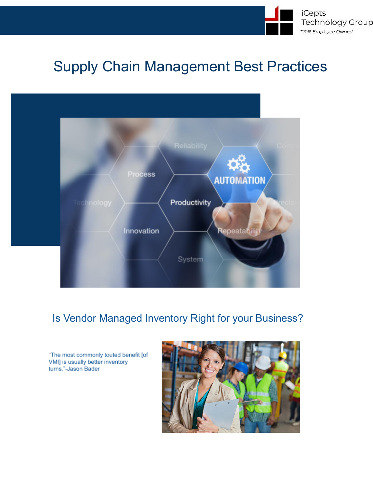

# Supply Chain Management Best Practices



# Is Vendor Managed Inventory Right for your Business?

'The most commonly touted benefit [of VMI] is usually better inventory turns."-Jason Bader

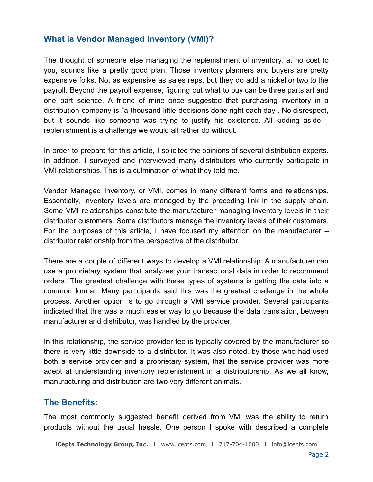## **What is Vendor Managed Inventory (VMI)?**

The thought of someone else managing the replenishment of inventory, at no cost to you, sounds like a pretty good plan. Those inventory planners and buyers are pretty expensive folks. Not as expensive as sales reps, but they do add a nickel or two to the payroll. Beyond the payroll expense, figuring out what to buy can be three parts art and one part science. A friend of mine once suggested that purchasing inventory in a distribution company is "a thousand little decisions done right each day". No disrespect, but it sounds like someone was trying to justify his existence. All kidding aside – replenishment is a challenge we would all rather do without.

In order to prepare for this article, I solicited the opinions of several distribution experts. In addition, I surveyed and interviewed many distributors who currently participate in VMI relationships. This is a culmination of what they told me.

Vendor Managed Inventory, or VMI, comes in many different forms and relationships. Essentially, inventory levels are managed by the preceding link in the supply chain. Some VMI relationships constitute the manufacturer managing inventory levels in their distributor customers. Some distributors manage the inventory levels of their customers. For the purposes of this article, I have focused my attention on the manufacturer – distributor relationship from the perspective of the distributor.

There are a couple of different ways to develop a VMI relationship. A manufacturer can use a proprietary system that analyzes your transactional data in order to recommend orders. The greatest challenge with these types of systems is getting the data into a common format. Many participants said this was the greatest challenge in the whole process. Another option is to go through a VMI service provider. Several participants indicated that this was a much easier way to go because the data translation, between manufacturer and distributor, was handled by the provider.

In this relationship, the service provider fee is typically covered by the manufacturer so there is very little downside to a distributor. It was also noted, by those who had used both a service provider and a proprietary system, that the service provider was more adept at understanding inventory replenishment in a distributorship. As we all know, manufacturing and distribution are two very different animals.

## **The Benefits:**

The most commonly suggested benefit derived from VMI was the ability to return products without the usual hassle. One person I spoke with described a complete

**iCepts Technology Group, Inc.** l [www.icepts.com](http://www.icepts.com) l 717-704-1000 l [info@icepts.com](mailto:info@icepts.com)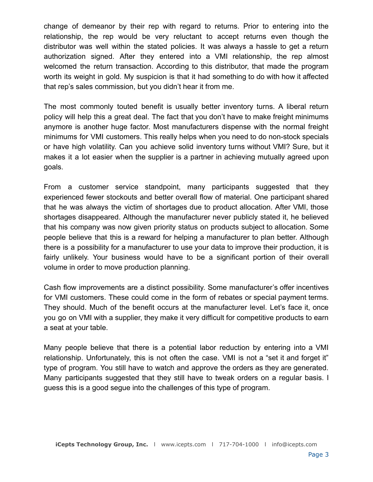change of demeanor by their rep with regard to returns. Prior to entering into the relationship, the rep would be very reluctant to accept returns even though the distributor was well within the stated policies. It was always a hassle to get a return authorization signed. After they entered into a VMI relationship, the rep almost welcomed the return transaction. According to this distributor, that made the program worth its weight in gold. My suspicion is that it had something to do with how it affected that rep's sales commission, but you didn't hear it from me.

The most commonly touted benefit is usually better inventory turns. A liberal return policy will help this a great deal. The fact that you don't have to make freight minimums anymore is another huge factor. Most manufacturers dispense with the normal freight minimums for VMI customers. This really helps when you need to do non-stock specials or have high volatility. Can you achieve solid inventory turns without VMI? Sure, but it makes it a lot easier when the supplier is a partner in achieving mutually agreed upon goals.

From a customer service standpoint, many participants suggested that they experienced fewer stockouts and better overall flow of material. One participant shared that he was always the victim of shortages due to product allocation. After VMI, those shortages disappeared. Although the manufacturer never publicly stated it, he believed that his company was now given priority status on products subject to allocation. Some people believe that this is a reward for helping a manufacturer to plan better. Although there is a possibility for a manufacturer to use your data to improve their production, it is fairly unlikely. Your business would have to be a significant portion of their overall volume in order to move production planning.

Cash flow improvements are a distinct possibility. Some manufacturer's offer incentives for VMI customers. These could come in the form of rebates or special payment terms. They should. Much of the benefit occurs at the manufacturer level. Let's face it, once you go on VMI with a supplier, they make it very difficult for competitive products to earn a seat at your table.

Many people believe that there is a potential labor reduction by entering into a VMI relationship. Unfortunately, this is not often the case. VMI is not a "set it and forget it" type of program. You still have to watch and approve the orders as they are generated. Many participants suggested that they still have to tweak orders on a regular basis. I guess this is a good segue into the challenges of this type of program.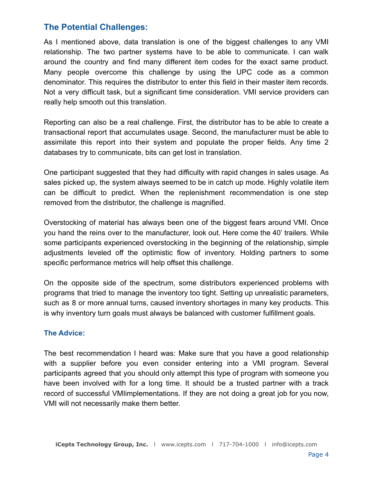# **The Potential Challenges:**

As I mentioned above, data translation is one of the biggest challenges to any VMI relationship. The two partner systems have to be able to communicate. I can walk around the country and find many different item codes for the exact same product. Many people overcome this challenge by using the UPC code as a common denominator. This requires the distributor to enter this field in their master item records. Not a very difficult task, but a significant time consideration. VMI service providers can really help smooth out this translation.

Reporting can also be a real challenge. First, the distributor has to be able to create a transactional report that accumulates usage. Second, the manufacturer must be able to assimilate this report into their system and populate the proper fields. Any time 2 databases try to communicate, bits can get lost in translation.

One participant suggested that they had difficulty with rapid changes in sales usage. As sales picked up, the system always seemed to be in catch up mode. Highly volatile item can be difficult to predict. When the replenishment recommendation is one step removed from the distributor, the challenge is magnified.

Overstocking of material has always been one of the biggest fears around VMI. Once you hand the reins over to the manufacturer, look out. Here come the 40' trailers. While some participants experienced overstocking in the beginning of the relationship, simple adjustments leveled off the optimistic flow of inventory. Holding partners to some specific performance metrics will help offset this challenge.

On the opposite side of the spectrum, some distributors experienced problems with programs that tried to manage the inventory too tight. Setting up unrealistic parameters, such as 8 or more annual turns, caused inventory shortages in many key products. This is why inventory turn goals must always be balanced with customer fulfillment goals.

#### **The Advice:**

The best recommendation I heard was: Make sure that you have a good relationship with a supplier before you even consider entering into a VMI program. Several participants agreed that you should only attempt this type of program with someone you have been involved with for a long time. It should be a trusted partner with a track record of successful VMIimplementations. If they are not doing a great job for you now, VMI will not necessarily make them better.